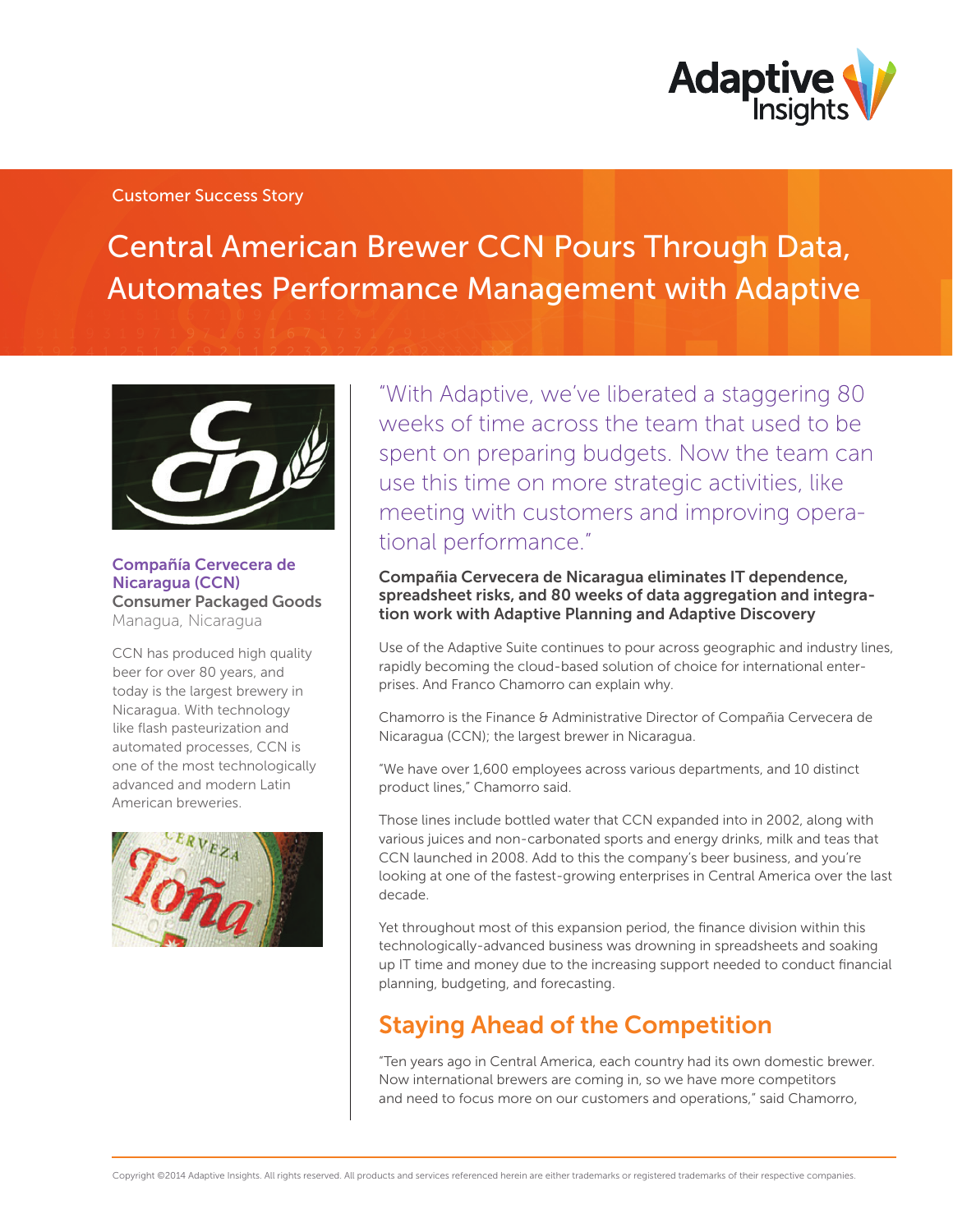

### Customer Success Story

Central American Brewer CCN Pours Through Data, Automates Performance Management with Adaptive



### Compañía Cervecera de Nicaragua (CCN) Consumer Packaged Goods Managua, Nicaragua

CCN has produced high quality beer for over 80 years, and today is the largest brewery in Nicaragua. With technology like flash pasteurization and automated processes, CCN is one of the most technologically advanced and modern Latin American breweries.



"With Adaptive, we've liberated a staggering 80 weeks of time across the team that used to be spent on preparing budgets. Now the team can use this time on more strategic activities, like meeting with customers and improving operational performance."

### Compañia Cervecera de Nicaragua eliminates IT dependence, spreadsheet risks, and 80 weeks of data aggregation and integration work with Adaptive Planning and Adaptive Discovery

Use of the Adaptive Suite continues to pour across geographic and industry lines, rapidly becoming the cloud-based solution of choice for international enterprises. And Franco Chamorro can explain why.

Chamorro is the Finance & Administrative Director of Compañia Cervecera de Nicaragua (CCN); the largest brewer in Nicaragua.

"We have over 1,600 employees across various departments, and 10 distinct product lines," Chamorro said.

Those lines include bottled water that CCN expanded into in 2002, along with various juices and non-carbonated sports and energy drinks, milk and teas that CCN launched in 2008. Add to this the company's beer business, and you're looking at one of the fastest-growing enterprises in Central America over the last decade.

Yet throughout most of this expansion period, the finance division within this technologically-advanced business was drowning in spreadsheets and soaking up IT time and money due to the increasing support needed to conduct financial planning, budgeting, and forecasting.

# Staying Ahead of the Competition

"Ten years ago in Central America, each country had its own domestic brewer. Now international brewers are coming in, so we have more competitors and need to focus more on our customers and operations," said Chamorro,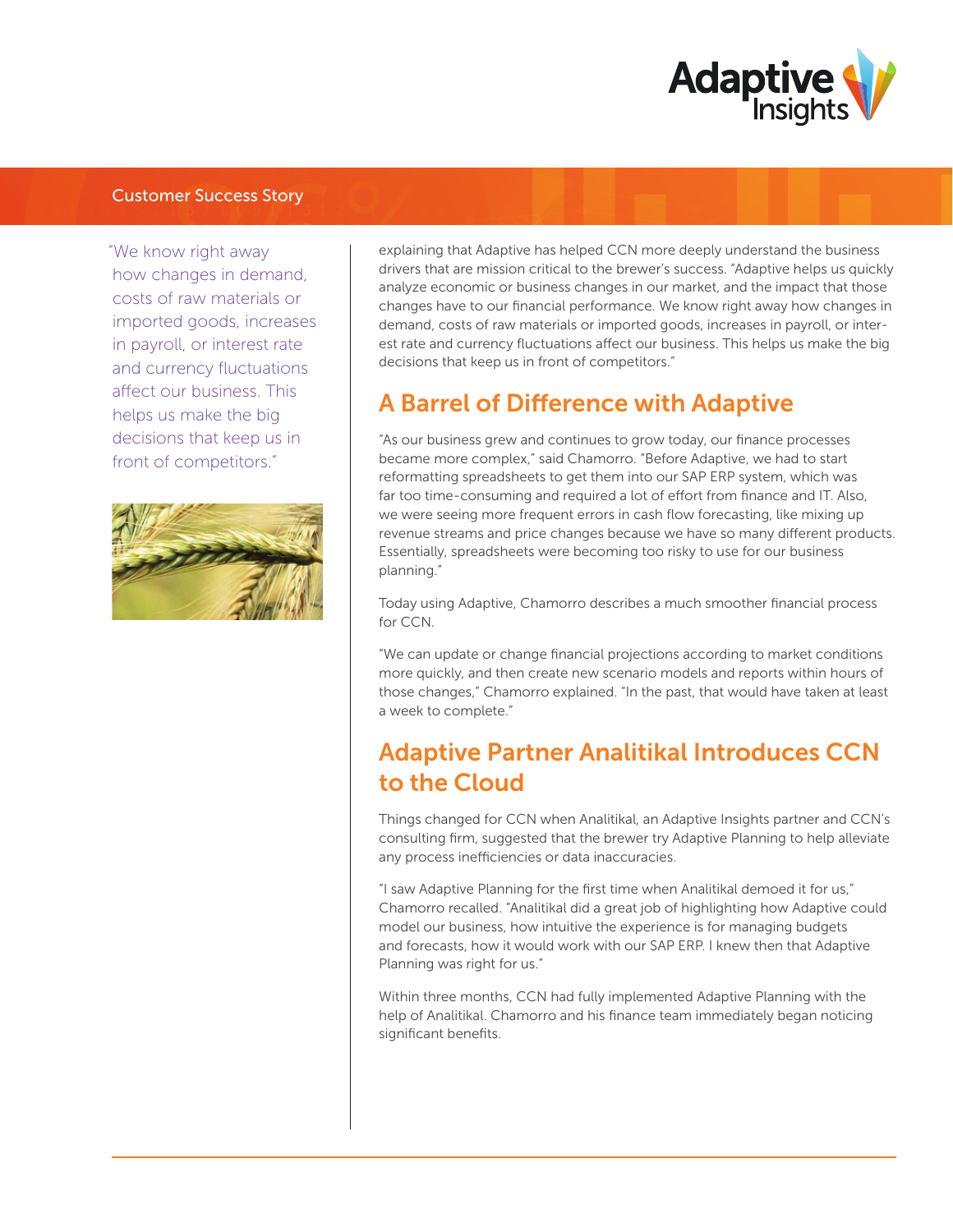

### Customer Success Story

"We know right away how changes in demand, costs of raw materials or imported goods, increases in payroll, or interest rate and currency fluctuations affect our business. This helps us make the big decisions that keep us in front of competitors."



explaining that Adaptive has helped CCN more deeply understand the business drivers that are mission critical to the brewer's success. "Adaptive helps us quickly analyze economic or business changes in our market, and the impact that those changes have to our financial performance. We know right away how changes in demand, costs of raw materials or imported goods, increases in payroll, or interest rate and currency fluctuations affect our business. This helps us make the big decisions that keep us in front of competitors."

## **A Barrel of Difference with Adaptive**

"As our business grew and continues to grow today, our finance processes became more complex," said Chamorro. "Before Adaptive, we had to start reformatting spreadsheets to get them into our SAP ERP system, which was far too time-consuming and required a lot of effort from finance and IT. Also, we were seeing more frequent errors in cash flow forecasting, like mixing up revenue streams and price changes because we have so many different products. Essentially, spreadsheets were becoming too risky to use for our business planning."

Today using Adaptive, Chamorro describes a much smoother financial process for CCN.

"We can update or change financial projections according to market conditions more quickly, and then create new scenario models and reports within hours of those changes," Chamorro explained. "In the past, that would have taken at least a week to complete."

# Adaptive Partner Analitikal Introduces CCN to the Cloud

Things changed for CCN when Analitikal, an Adaptive Insights partner and CCN's consulting firm, suggested that the brewer try Adaptive Planning to help alleviate any process inefficiencies or data inaccuracies.

"I saw Adaptive Planning for the first time when Analitikal demoed it for us," Chamorro recalled. "Analitikal did a great job of highlighting how Adaptive could model our business, how intuitive the experience is for managing budgets and forecasts, how it would work with our SAP ERP. I knew then that Adaptive Planning was right for us."

Within three months, CCN had fully implemented Adaptive Planning with the help of Analitikal. Chamorro and his finance team immediately began noticing significant benefits.